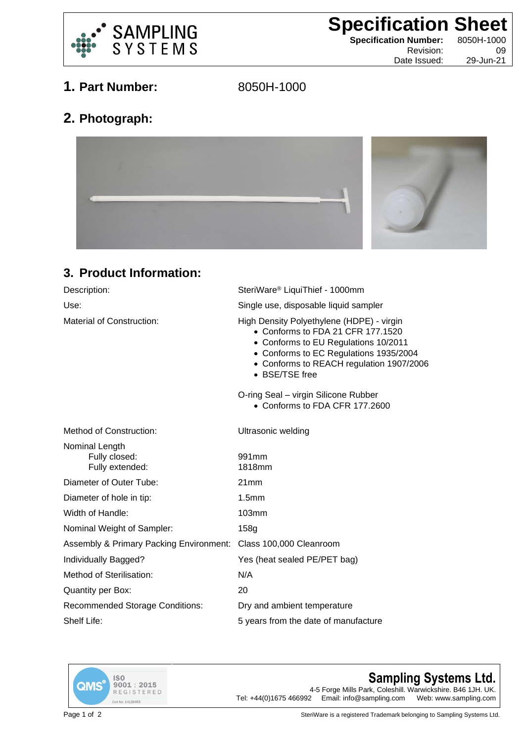

**Specification Sheet**<br>
Specification Number: 8050H-1000

**Specification Number:** Date Issued:

Revision: 09<br>te Issued: 29-Jun-21

## **1. Part Number:** 8050H-1000

## **2. Photograph:**



## **3. Product Information:**

| Description:                                       | SteriWare <sup>®</sup> LiquiThief - 1000mm                                                                                                                                                                                     |
|----------------------------------------------------|--------------------------------------------------------------------------------------------------------------------------------------------------------------------------------------------------------------------------------|
| Use:                                               | Single use, disposable liquid sampler                                                                                                                                                                                          |
| <b>Material of Construction:</b>                   | High Density Polyethylene (HDPE) - virgin<br>• Conforms to FDA 21 CFR 177,1520<br>• Conforms to EU Regulations 10/2011<br>• Conforms to EC Regulations 1935/2004<br>• Conforms to REACH regulation 1907/2006<br>• BSE/TSE free |
|                                                    | O-ring Seal - virgin Silicone Rubber<br>• Conforms to FDA CFR 177.2600                                                                                                                                                         |
| Method of Construction:                            | Ultrasonic welding                                                                                                                                                                                                             |
| Nominal Length<br>Fully closed:<br>Fully extended: | 991 <sub>mm</sub><br>1818mm                                                                                                                                                                                                    |
| Diameter of Outer Tube:                            | 21mm                                                                                                                                                                                                                           |
| Diameter of hole in tip:                           | 1.5 <sub>mm</sub>                                                                                                                                                                                                              |
| Width of Handle:                                   | 103mm                                                                                                                                                                                                                          |
| Nominal Weight of Sampler:                         | 158g                                                                                                                                                                                                                           |
| Assembly & Primary Packing Environment:            | Class 100,000 Cleanroom                                                                                                                                                                                                        |
| Individually Bagged?                               | Yes (heat sealed PE/PET bag)                                                                                                                                                                                                   |
| Method of Sterilisation:                           | N/A                                                                                                                                                                                                                            |
| <b>Quantity per Box:</b>                           | 20                                                                                                                                                                                                                             |
| <b>Recommended Storage Conditions:</b>             | Dry and ambient temperature                                                                                                                                                                                                    |
| Shelf Life:                                        | 5 years from the date of manufacture                                                                                                                                                                                           |
|                                                    |                                                                                                                                                                                                                                |



## **Sampling Systems Ltd.**

4-5 Forge Mills Park, Coleshill. Warwickshire. B46 1JH. UK.<br>2 Email: info@sampling.com Web: www.sampling.com Tel:  $+44(0)1675466992$  Email: info@sampling.com